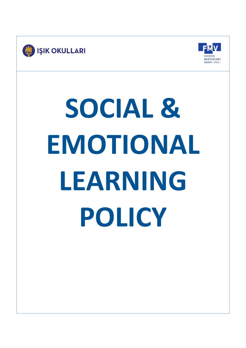



# **SOCIAL & EMOTIONAL LEARNING POLICY**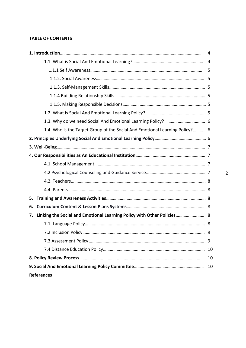# **TABLE OF CONTENTS**

| 1.4. Who is the Target Group of the Social And Emotional Learning Policy? 6  |    |  |  |
|------------------------------------------------------------------------------|----|--|--|
|                                                                              |    |  |  |
|                                                                              |    |  |  |
|                                                                              |    |  |  |
|                                                                              |    |  |  |
|                                                                              |    |  |  |
|                                                                              |    |  |  |
|                                                                              |    |  |  |
| 5.                                                                           |    |  |  |
| 6.                                                                           |    |  |  |
| Linking the Social and Emotional Learning Policy with Other Policies 8<br>7. |    |  |  |
|                                                                              |    |  |  |
|                                                                              |    |  |  |
|                                                                              |    |  |  |
|                                                                              |    |  |  |
|                                                                              | 10 |  |  |
|                                                                              |    |  |  |
| <b>References</b>                                                            |    |  |  |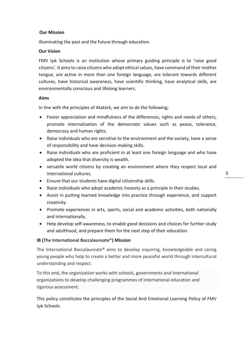# **Our Mission**

Illuminating the past and the future through education.

# **Our Vision**

FMV Işık Schools is an institution whose primary guiding principle is to 'raise good citizens'. It aims to raise citizens who adopt ethical values, have command of their mother tongue, are active in more than one foreign language, are tolerant towards different cultures, have historical awareness, have scientific thinking, have analytical skills, are environmentally conscious and lifelong learners.

# **Aims**

In line with the principles of Atatürk, we aim to do the following;

- Foster appreciation and mindfulness of the differences, rights and needs of others, promote internalisation of the democratic values such as peace, tolerance, democracy and human rights.
- Raise individuals who are sensitive to the environment and the society, have a sense of responsibility and have decision-making skills.
- Raise individuals who are proficient in at least one foreign language and who have adopted the idea that diversity is wealth.
- versatile world citizens by creating an environment where they respect local and international cultures.
- Ensure that our students have digital citizenship skills.
- Raise individuals who adopt academic honesty as a principle in their studies.
- Assist in putting learned knowledge into practice through experience, and support creativity.
- Promote experiences in arts, sports, social and academic activities, both nationally and internationally.
- Help develop self-awareness, to enable good decisions and choices for further study and adulthood, and prepare them for the next step of their education.

# **IB (The International Baccalaureate®) Mission**

The International Baccalaureate® aims to develop inquiring, knowledgeable and caring young people who help to create a better and more peaceful world through intercultural understanding and respect.

To this end, the organization works with schools, governments and international organizations to develop challenging programmes of international education and rigorous assessment.

This policy constitutes the principles of the Social And Emotional Learning Policy of FMV Işık Schools.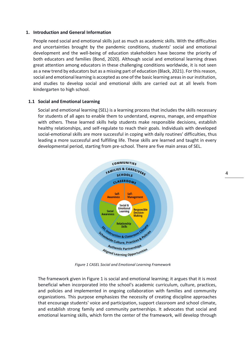### **1. Introduction and General Information**

People need social and emotional skills just as much as academic skills. With the difficulties and uncertainties brought by the pandemic conditions, students' social and emotional development and the well-being of education stakeholders have become the priority of both educators and families (Bond, 2020). Although social and emotional learning draws great attention among educators in these challenging conditions worldwide, it is not seen as a new trend by educators but as a missing part of education (Black, 2021). For this reason, social and emotional learning is accepted as one of the basic learning areas in our institution, and studies to develop social and emotional skills are carried out at all levels from kindergarten to high school.

### **1.1 Social and Emotional Learning**

Social and emotional learning (SEL) is a learning process that includes the skills necessary for students of all ages to enable them to understand, express, manage, and empathize with others. These learned skills help students make responsible decisions, establish healthy relationships, and self-regulate to reach their goals. Individuals with developed social-emotional skills are more successful in coping with daily routines' difficulties, thus leading a more successful and fulfilling life. These skills are learned and taught in every developmental period, starting from pre-school. There are five main areas of SEL.



*Figure 1 CASEL Social and Emotional Learning Framework*

The framework given in Figure 1 is social and emotional learning; it argues that it is most beneficial when incorporated into the school's academic curriculum, culture, practices, and policies and implemented in ongoing collaboration with families and community organizations. This purpose emphasizes the necessity of creating discipline approaches that encourage students' voice and participation, support classroom and school climate, and establish strong family and community partnerships. It advocates that social and emotional learning skills, which form the center of the framework, will develop through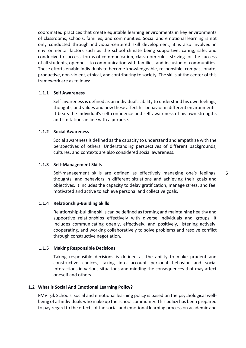coordinated practices that create equitable learning environments in key environments of classrooms, schools, families, and communities. Social and emotional learning is not only conducted through individual-centered skill development; it is also involved in environmental factors such as the school climate being supportive, caring, safe, and conducive to success, forms of communication, classroom rules, striving for the success of all students, openness to communication with families, and inclusion of communities. These efforts enable individuals to become knowledgeable, responsible, compassionate, productive, non-violent, ethical, and contributing to society. The skills at the center of this framework are as follows:

# **1.1.1 Self Awareness**

Self-awareness is defined as an individual's ability to understand his own feelings, thoughts, and values and how these affect his behavior in different environments. It bears the individual's self-confidence and self-awareness of his own strengths and limitations in line with a purpose.

### **1.1.2 Social Awareness**

Social awareness is defined as the capacity to understand and empathize with the perspectives of others. Understanding perspectives of different backgrounds, cultures, and contexts are also considered social awareness.

### **1.1.3 Self-Management Skills**

Self-management skills are defined as effectively managing one's feelings, thoughts, and behaviors in different situations and achieving their goals and objectives. It includes the capacity to delay gratification, manage stress, and feel motivated and active to achieve personal and collective goals.

### **1.1.4 Relationship-Building Skills**

Relationship-building skills can be defined as forming and maintaining healthy and supportive relationships effectively with diverse individuals and groups. It includes communicating openly, effectively, and positively, listening actively, cooperating, and working collaboratively to solve problems and resolve conflict through constructive negotiation.

### **1.1.5 Making Responsible Decisions**

Taking responsible decisions is defined as the ability to make prudent and constructive choices, taking into account personal behavior and social interactions in various situations and minding the consequences that may affect oneself and others.

### **1.2 What is Social And Emotional Learning Policy?**

FMV Işık Schools' social and emotional learning policy is based on the psychological wellbeing of all individuals who make up the school community. This policy has been prepared to pay regard to the effects of the social and emotional learning process on academic and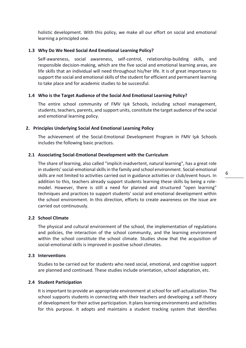holistic development. With this policy, we make all our effort on social and emotional learning a principled one.

# **1.3 Why Do We Need Social And Emotional Learning Policy?**

Self-awareness, social awareness, self-control, relationship-building skills, and responsible decision-making, which are the five social and emotional learning areas, are life skills that an individual will need throughout his/her life. It is of great importance to support the social and emotional skills of the student for efficient and permanent learning to take place and for academic studies to be successful.

### **1.4 Who is the Target Audience of the Social And Emotional Learning Policy?**

The entire school community of FMV Işık Schools, including school management, students, teachers, parents, and support units, constitute the target audience of the social and emotional learning policy.

### **2. Principles Underlying Social And Emotional Learning Policy**

The achievement of the Social-Emotional Development Program in FMV Işık Schools includes the following basic practices.

### **2.1 Associating Social-Emotional Development with the Curriculum**

The share of learning, also called "implicit-inadvertent, natural learning", has a great role in students' social-emotional skills in the family and school environment. Social-emotional skills are not limited to activities carried out in guidance activities or club/event hours. In addition to this, teachers already support students learning these skills by being a rolemodel. However, there is still a need for planned and structured "open learning" techniques and practices to support students' social and emotional development within the school environment. In this direction, efforts to create awareness on the issue are carried out continuously.

### **2.2 School Climate**

The physical and cultural environment of the school, the implementation of regulations and policies, the interaction of the school community, and the learning environment within the school constitute the school climate. Studies show that the acquisition of social-emotional skills is improved in positive school climates.

### **2.3 Interventions**

Studies to be carried out for students who need social, emotional, and cognitive support are planned and continued. These studies include orientation, school adaptation, etc.

# **2.4 Student Participation**

It is important to provide an appropriate environment at school for self-actualization. The school supports students in connecting with their teachers and developing a self-theory of development for their active participation. It plans learning environments and activities for this purpose. It adopts and maintains a student tracking system that identifies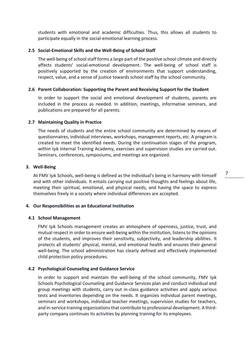students with emotional and academic difficulties. Thus, this allows all students to participate equally in the social-emotional learning process.

# **2.5 Social-Emotional Skills and the Well-Being of School Staff**

The well-being of school staff forms a large part of the positive school climate and directly affects students' social-emotional development. The well-being of school staff is positively supported by the creation of environments that support understanding, respect, value, and a sense of justice towards school staff by the school community.

# **2.6 Parent Collaboration: Supporting the Parent and Receiving Support for the Student**

In order to support the social and emotional development of students, parents are included in the process as needed. In addition, meetings, informative seminars, and publications are prepared for all parents.

# **2.7 Maintaining Quality in Practice**

The needs of students and the entire school community are determined by means of questionnaires, individual interviews, workshops, management reports, etc. A program is created to meet the identified needs. During the continuation stages of the program, within Işık Internal Training Academy, exercises and supervision studies are carried out. Seminars, conferences, symposiums, and meetings are organized.

# **3. Well-Being**

At FMV Işık Schools, well-being is defined as the individual's being in harmony with himself and with other individuals. It entails carrying out positive thoughts and feelings about life, meeting their spiritual, emotional, and physical needs, and having the space to express themselves freely in a society where individual differences are accepted.

# **4. Our Responsibilities as an Educational Institution**

# **4.1 School Management**

FMV Işık Schools management creates an atmosphere of openness, justice, trust, and mutual respect in order to ensure well-being within the institution, listens to the opinions of the students, and improves their sensitivity, subjectivity, and leadership abilities. It protects all students' physical, mental, and emotional health and ensures their general well-being. The school administration has clearly defined and effectively implemented child protection policy procedures.

# **4.2 Psychological Counseling and Guidance Service**

In order to support and maintain the well-being of the school community, FMV Işık Schools Psychological Counseling and Guidance Services plan and conduct individual and group meetings with students, carry out in-class guidance activities and apply various tests and inventories depending on the needs. It organizes individual parent meetings, seminars and workshops, individual teacher meetings, supervision studies for teachers, and in-service training organizations that contribute to professional development. A thirdparty company continues its activities by planning training for its employees.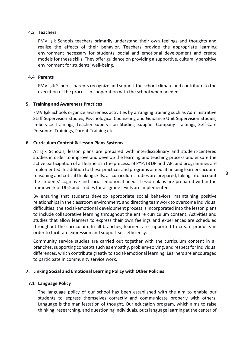# **4.3 Teachers**

FMV Işık Schools teachers primarily understand their own feelings and thoughts and realize the effects of their behavior. Teachers provide the appropriate learning environment necessary for students' social and emotional development and create models for these skills. They offer guidance on providing a supportive, culturally sensitive environment for students' well-being.

### **4.4 Parents**

FMV Işık Schools' parents recognize and support the school climate and contribute to the execution of the process in cooperation with the school when needed.

### **5. Training and Awareness Practices**

FMV Işık Schools organize awareness activities by arranging training such as Administrative Staff Supervision Studies, Psychological Counseling and Guidance Unit Supervision Studies, In-Service Trainings, Teacher Supervision Studies, Supplier Company Trainings, Self-Care Personnel Trainings, Parent Training etc.

### **6. Curriculum Content & Lesson Plans Systems**

At Işık Schools, lesson plans are prepared with interdisciplinary and student-centered studies in order to improve and develop the learning and teaching process and ensure the active participation of all learners in the process. IB PYP, IB DP and AP, and programmes are implemented. In addition to these practices and programs aimed at helping learners acquire reasoning and critical thinking skills, all curriculum studies are prepared, taking into account the students' cognitive and social-emotional needs. Lesson plans are prepared within the framework of UbD and studies for all grade levels are implemented.

By ensuring that students develop appropriate social behaviors, maintaining positive relationships in the classroom environment, and directing teamwork to overcome individual difficulties, the social-emotional development process is incorporated into the lesson plans to include collaborative learning throughout the entire curriculum content. Activities and studies that allow learners to express their own feelings and experiences are scheduled throughout the curriculum. In all branches, learners are supported to create products in order to facilitate expression and support self-efficiency.

Community service studies are carried out together with the curriculum content in all branches, supporting concepts such as empathy, problem-solving, and respect for individual differences, which contribute greatly to social-emotional learning. Learners are encouraged to participate in community service work.

### **7. Linking Social and Emotional Learning Policy with Other Policies**

### **7.1 Language Policy**

The language policy of our school has been established with the aim to enable our students to express themselves correctly and communicate properly with others. Language is the manifestation of thought. Our education program, which aims to raise thinking, researching, and questioning individuals, puts language learning at the center of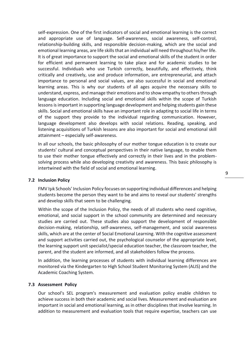self-expression. One of the first indicators of social and emotional learning is the correct and appropriate use of language. Self-awareness, social awareness, self-control, relationship-building skills, and responsible decision-making, which are the social and emotional learning areas, are life skills that an individual will need throughout his/her life. It is of great importance to support the social and emotional skills of the student in order for efficient and permanent learning to take place and for academic studies to be successful. Individuals who use Turkish correctly, beautifully, and effectively, think critically and creatively, use and produce information, are entrepreneurial, and attach importance to personal and social values, are also successful in social and emotional learning areas. This is why our students of all ages acquire the necessary skills to understand, express, and manage their emotions and to show empathy to others through language education. Including social and emotional skills within the scope of Turkish lessons is important in supporting language development and helping students gain these skills. Social and emotional skills have an important role in adapting to social life in terms of the support they provide to the individual regarding communication. However, language development also develops with social relations. Reading, speaking, and listening acquisitions of Turkish lessons are also important for social and emotional skill attainment – especially self-awareness.

In all our schools, the basic philosophy of our mother tongue education is to create our students' cultural and conceptual perspectives in their native language, to enable them to use their mother tongue effectively and correctly in their lives and in the problemsolving process while also developing creativity and awareness. This basic philosophy is intertwined with the field of social and emotional learning.

### **7.2 Inclusion Policy**

FMV Işık Schools' Inclusion Policy focuses on supporting individual differences and helping students become the person they want to be and aims to reveal our students' strengths and develop skills that seem to be challenging.

Within the scope of the Inclusion Policy, the needs of all students who need cognitive, emotional, and social support in the school community are determined and necessary studies are carried out. These studies also support the development of responsible decision-making, relationship, self-awareness, self-management, and social awareness skills, which are at the center of Social Emotional Learning. With the cognitive assessment and support activities carried out, the psychological counselor of the appropriate level, the learning support unit specialist/special education teacher, the classroom teacher, the parent, and the student are informed, and all stakeholders follow the process.

In addition, the learning processes of students with individual learning differences are monitored via the Kindergarten to High School Student Monitoring System (ALIS) and the Academic Coaching System.

# **7.3 Assessment Policy**

Our school's SEL program's measurement and evaluation policy enable children to achieve success in both their academic and social lives. Measurement and evaluation are important in social and emotional learning, as in other disciplines that involve learning. In addition to measurement and evaluation tools that require expertise, teachers can use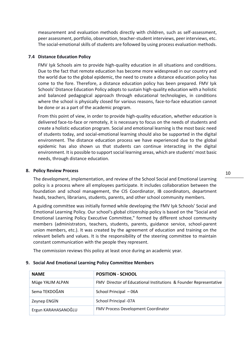measurement and evaluation methods directly with children, such as self-assessment, peer assessment, portfolio, observation, teacher-student interviews, peer interviews, etc. The social-emotional skills of students are followed by using process evaluation methods.

### **7.4 Distance Education Policy**

FMV Işık Schools aim to provide high-quality education in all situations and conditions. Due to the fact that remote education has become more widespread in our country and the world due to the global epidemic, the need to create a distance education policy has come to the fore. Therefore, a distance education policy has been prepared. FMV Işık Schools' Distance Education Policy adopts to sustain high-quality education with a holistic and balanced pedagogical approach through educational technologies, in conditions where the school is physically closed for various reasons, face-to-face education cannot be done or as a part of the academic program.

From this point of view, in order to provide high-quality education, whether education is delivered face-to-face or remotely, it is necessary to focus on the needs of students and create a holistic education program. Social and emotional learning is the most basic need of students today, and social-emotional learning should also be supported in the digital environment. The distance education process we have experienced due to the global epidemic has also shown us that students can continue interacting in the digital environment. It is possible to support social learning areas, which are students' most basic needs, through distance education.

### **8. Policy Review Process**

The development, implementation, and review of the School Social and Emotional Learning policy is a process where all employees participate. It includes collaboration between the foundation and school management, the CIS Coordinator, IB coordinators, department heads, teachers, librarians, students, parents, and other school community members.

A guiding committee was initially formed while developing the FMV Işık Schools' Social and Emotional Learning Policy. Our school's global citizenship policy is based on the "Social and Emotional Learning Policy Executive Committee," formed by different school community members (administrators, teachers, students, parents, guidance service, school-parent union members, etc.). It was created by the agreement of education and training on the relevant beliefs and values. It is the responsibility of the steering committee to maintain constant communication with the people they represent.

The commission reviews this policy at least once during an academic year.

| <b>NAME</b>         | <b>POSITION - SCHOOL</b>                                          |
|---------------------|-------------------------------------------------------------------|
| Müge YALIM ALPAN    | FMV Director of Educational Institutions & Founder Representative |
| Sema TEKDOĞAN       | School Principal - 06A                                            |
| Zeynep ENGIN        | School Principal -07A                                             |
| Ergun KARAHASANOĞLU | FMV Process Development Coordinator                               |

### **9. Social And Emotional Learning Policy Committee Members**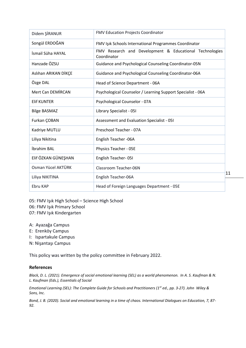| Didem ŞİRANUR            | <b>FMV Education Projects Coordinator</b>                              |
|--------------------------|------------------------------------------------------------------------|
| Songül ERDOĞAN           | FMV Işık Schools International Programmes Coordinator                  |
| İsmail Süha HAYAL        | FMV Research and Development & Educational Technologies<br>Coordinator |
| Hanzade ÖZSU             | Guidance and Psychological Counseling Coordinator-05N                  |
| Aslıhan ARIKAN DİKÇE     | Guidance and Psychological Counseling Coordinator-06A                  |
| Özge DAL                 | Head of Science Department - 06A                                       |
| <b>Mert Can DEMIRCAN</b> | Psychological Counselor / Learning Support Specialist - 06A            |
| <b>Elif KUNTER</b>       | Psychological Counselor - 07A                                          |
| <b>Bilge BASMAZ</b>      | Library Specialist - 051                                               |
| Furkan COBAN             | Assessment and Evaluation Specialist - 051                             |
| Kadriye MUTLU            | Preschool Teacher - 07A                                                |
| Liliya Nikitina          | English Teacher - 06A                                                  |
| İbrahim BAL              | Physics Teacher - 05E                                                  |
| Elif ÖZKAN GÜNEŞHAN      | English Teacher-05I                                                    |
| Osman Yücel AKTÜRK       | Classroom Teacher-06N                                                  |
| Liliya NIKITINA          | English Teacher-06A                                                    |
| Ebru KAP                 | Head of Foreign Languages Department - 05E                             |

05: FMV Işık High School – Science High School

- 06: FMV Işık Primary School
- 07: FMV Işık Kindergarten
- A: Ayazağa Campus
- E: Erenköy Campus
- I: Ispartakule Campus
- N: Nişantaşı Campus

This policy was written by the policy committee in February 2022.

# **References**

*Black, D. L. (2021). Emergence of social emotional learning (SEL) as a world phenomenon. In A. S. Kaufman & N. L. Kaufman (Eds.), Essentials of Social* 

*Emotional Learning (SEL): The Complete Guide for Schools and Practitioners (1st ed., pp. 3-27). John Wiley & Sons, Inc.*

*Bond, J. B. (2020). Social and emotional learning in a time of chaos. International Dialogues on Education, 7, 87- 92.*